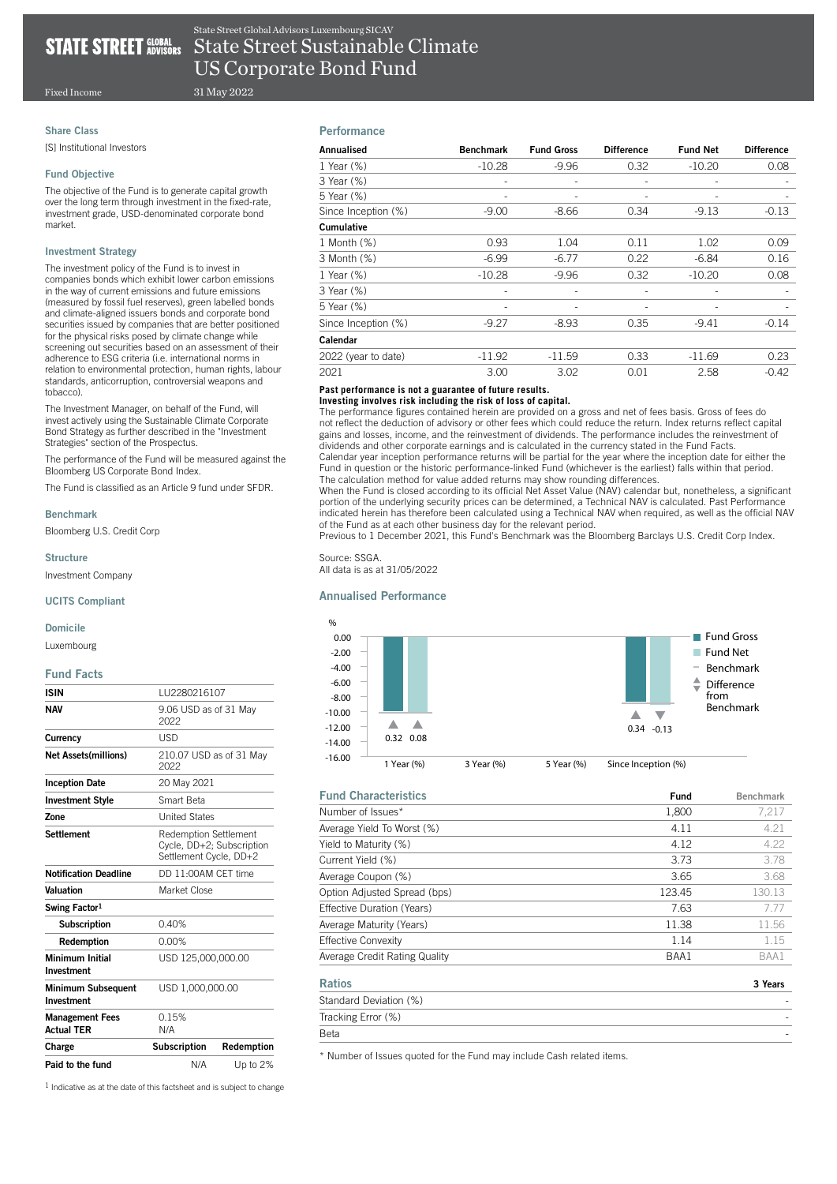# **STATE**

**STREET** GLOBAL State Street Sustainable Climate US Corporate Bond Fund State Street Global Advisors Luxembourg SICAV

Fixed Income

# Share Class

[S] Institutional Investors

# Fund Objective

The objective of the Fund is to generate capital growth over the long term through investment in the fixed-rate, investment grade, USD-denominated corporate bond market.

31 May 2022

# Investment Strategy

The investment policy of the Fund is to invest in companies bonds which exhibit lower carbon emissions in the way of current emissions and future emissions (measured by fossil fuel reserves), green labelled bonds and climate-aligned issuers bonds and corporate bond securities issued by companies that are better positioned for the physical risks posed by climate change while screening out securities based on an assessment of their adherence to ESG criteria (i.e. international norms in relation to environmental protection, human rights, labour standards, anticorruption, controversial weapons and tobacco).

The Investment Manager, on behalf of the Fund, will invest actively using the Sustainable Climate Corporate Bond Strategy as further described in the "Investment Strategies" section of the Prospectus.

The performance of the Fund will be measured against the Bloomberg US Corporate Bond Index.

The Fund is classified as an Article 9 fund under SFDR.

#### Benchmark

Bloomberg U.S. Credit Corp

#### Structure

Investment Company

#### UCITS Compliant

#### Domicile

Luxembourg

#### Fund Facts

| <b>ISIN</b>                                 | LU2280216107                                                                        |            |  |
|---------------------------------------------|-------------------------------------------------------------------------------------|------------|--|
| <b>NAV</b>                                  | 9.06 USD as of 31 May<br>2022                                                       |            |  |
| Currency                                    | USD                                                                                 |            |  |
| <b>Net Assets(millions)</b>                 | 210.07 USD as of 31 May<br>2022                                                     |            |  |
| <b>Inception Date</b>                       | 20 May 2021                                                                         |            |  |
| <b>Investment Style</b>                     | Smart Reta                                                                          |            |  |
| Zone                                        | <b>United States</b>                                                                |            |  |
| <b>Settlement</b>                           | <b>Redemption Settlement</b><br>Cycle, DD+2; Subscription<br>Settlement Cycle, DD+2 |            |  |
| <b>Notification Deadline</b>                | DD 11:00AM CFT time                                                                 |            |  |
| Valuation                                   | Market Close                                                                        |            |  |
| Swing Factor <sup>1</sup>                   |                                                                                     |            |  |
| <b>Subscription</b>                         | 0.40%                                                                               |            |  |
| Redemption                                  | 0.00%                                                                               |            |  |
| Minimum Initial<br>Investment               | USD 125,000,000,00                                                                  |            |  |
| <b>Minimum Subsequent</b><br>Investment     | USD 1,000,000.00                                                                    |            |  |
| <b>Management Fees</b><br><b>Actual TER</b> | 0.15%<br>N/A                                                                        |            |  |
| Charge                                      | <b>Subscription</b>                                                                 | Redemption |  |
| Paid to the fund                            | N/A                                                                                 | Up to 2%   |  |

# **Performance**

| Annualised          | <b>Benchmark</b> | <b>Fund Gross</b>        | <b>Difference</b> | <b>Fund Net</b> | <b>Difference</b> |
|---------------------|------------------|--------------------------|-------------------|-----------------|-------------------|
| 1 Year (%)          | $-10.28$         | $-9.96$                  | 0.32              | $-10.20$        | 0.08              |
| 3 Year (%)          |                  | ۰                        |                   |                 |                   |
| 5 Year (%)          |                  |                          |                   |                 |                   |
| Since Inception (%) | $-9.00$          | $-8.66$                  | 0.34              | $-9.13$         | $-0.13$           |
| Cumulative          |                  |                          |                   |                 |                   |
| 1 Month (%)         | 0.93             | 1.04                     | 0.11              | 1.02            | 0.09              |
| 3 Month (%)         | $-6.99$          | $-6.77$                  | 0.22              | $-6.84$         | 0.16              |
| 1 Year (%)          | $-10.28$         | $-9.96$                  | 0.32              | $-10.20$        | 0.08              |
| 3 Year (%)          | ٠                | $\overline{\phantom{a}}$ | ۰                 | ٠               |                   |
| 5 Year (%)          | ٠                | ۰                        | ٠                 |                 |                   |
| Since Inception (%) | $-9.27$          | $-8.93$                  | 0.35              | $-9.41$         | $-0.14$           |
| Calendar            |                  |                          |                   |                 |                   |
| 2022 (year to date) | $-11.92$         | $-11.59$                 | 0.33              | $-11.69$        | 0.23              |
| 2021                | 3.00             | 3.02                     | 0.01              | 2.58            | $-0.42$           |

## **Past performance is not a guarantee of future results.**

#### **Investing involves risk including the risk of loss of capital.**

The performance figures contained herein are provided on a gross and net of fees basis. Gross of fees do not reflect the deduction of advisory or other fees which could reduce the return. Index returns reflect capital gains and losses, income, and the reinvestment of dividends. The performance includes the reinvestment of dividends and other corporate earnings and is calculated in the currency stated in the Fund Facts. Calendar year inception performance returns will be partial for the year where the inception date for either the

Fund in question or the historic performance-linked Fund (whichever is the earliest) falls within that period. The calculation method for value added returns may show rounding differences. When the Fund is closed according to its official Net Asset Value (NAV) calendar but, nonetheless, a significant

portion of the underlying security prices can be determined, a Technical NAV is calculated. Past Performance indicated herein has therefore been calculated using a Technical NAV when required, as well as the official NAV of the Fund as at each other business day for the relevant period.

Previous to 1 December 2021, this Fund's Benchmark was the Bloomberg Barclays U.S. Credit Corp Index.

Source: SSGA. All data is as at 31/05/2022

#### Annualised Performance



| <b>Fund Characteristics</b>   | Fund   | <b>Benchmark</b> |
|-------------------------------|--------|------------------|
| Number of Issues*             | 1.800  | 7.217            |
| Average Yield To Worst (%)    | 4.11   | 4.21             |
| Yield to Maturity (%)         | 4.12   | 4.22             |
| Current Yield (%)             | 3.73   | 3.78             |
| Average Coupon (%)            | 3.65   | 3.68             |
| Option Adjusted Spread (bps)  | 123.45 | 130.13           |
| Effective Duration (Years)    | 7.63   | 7.77             |
| Average Maturity (Years)      | 11.38  | 11.56            |
| <b>Effective Convexity</b>    | 1.14   | 1.15             |
| Average Credit Rating Quality | BAA1   | BAA1             |
| <b>Ratios</b>                 |        | 3 Years          |

| ---------              | - - - - - -              |
|------------------------|--------------------------|
| Standard Deviation (%) | $\overline{\phantom{a}}$ |
| Tracking Error (%)     | $\overline{\phantom{a}}$ |
| Beta                   | -                        |

\* Number of Issues quoted for the Fund may include Cash related items.

1 Indicative as at the date of this factsheet and is subject to change